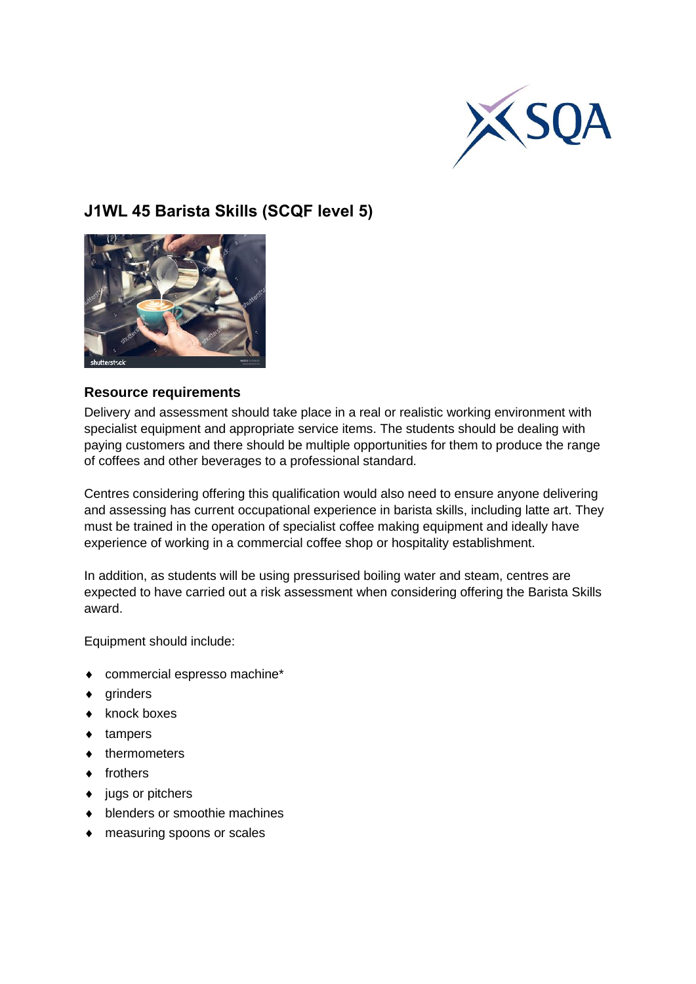

# **J1WL 45 Barista Skills (SCQF level 5)**



## **Resource requirements**

Delivery and assessment should take place in a real or realistic working environment with specialist equipment and appropriate service items. The students should be dealing with paying customers and there should be multiple opportunities for them to produce the range of coffees and other beverages to a professional standard.

Centres considering offering this qualification would also need to ensure anyone delivering and assessing has current occupational experience in barista skills, including latte art. They must be trained in the operation of specialist coffee making equipment and ideally have experience of working in a commercial coffee shop or hospitality establishment.

In addition, as students will be using pressurised boiling water and steam, centres are expected to have carried out a risk assessment when considering offering the Barista Skills award.

Equipment should include:

- commercial espresso machine\*
- $\bullet$  grinders
- $\bullet$  knock boxes
- ◆ tampers
- thermometers
- $\bullet$  frothers
- $\bullet$  jugs or pitchers
- $\bullet$  blenders or smoothie machines
- measuring spoons or scales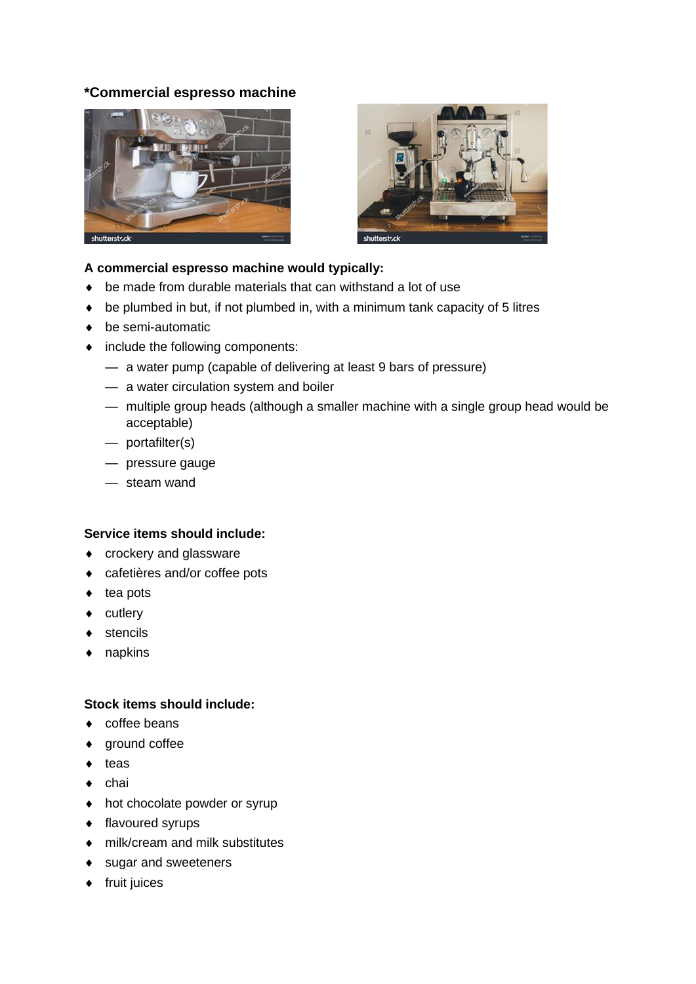# **\*Commercial espresso machine**





### **A commercial espresso machine would typically:**

- be made from durable materials that can withstand a lot of use
- $\bullet$  be plumbed in but, if not plumbed in, with a minimum tank capacity of 5 litres
- ◆ be semi-automatic
- include the following components:
	- a water pump (capable of delivering at least 9 bars of pressure)
	- a water circulation system and boiler
	- multiple group heads (although a smaller machine with a single group head would be acceptable)
	- portafilter(s)
	- pressure gauge
	- steam wand

#### **Service items should include:**

- crockery and glassware
- cafetières and/or coffee pots
- $\bullet$  tea pots
- $\bullet$  cutlery
- ◆ stencils
- ◆ napkins

#### **Stock items should include:**

- ◆ coffee beans
- ground coffee
- $\bullet$  teas
- $\bullet$  chai
- hot chocolate powder or syrup
- ◆ flavoured syrups
- milk/cream and milk substitutes
- ◆ sugar and sweeteners
- $\bullet$  fruit juices